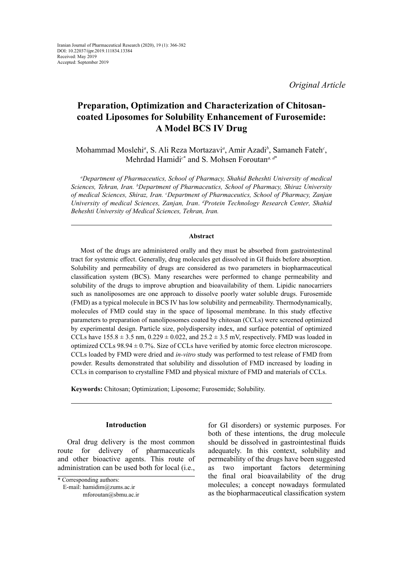*Original Article*

# **Preparation, Optimization and Characterization of Chitosancoated Liposomes for Solubility Enhancement of Furosemide: A Model BCS IV Drug**

Mohammad Moslehi*<sup>a</sup>* , S. Ali Reza Mortazavi*<sup>a</sup>* , Amir Azadi*<sup>b</sup>* , Samaneh Fateh*<sup>c</sup>* , Mehrdad Hamidi<sup>c\*</sup> and S. Mohsen Foroutan<sup>*a*, d\*</sup>

*a Department of Pharmaceutics, School of Pharmacy, Shahid Beheshti University of medical Sciences, Tehran, Iran. b Department of Pharmaceutics, School of Pharmacy, Shiraz University of medical Sciences, Shiraz, Iran. c Department of Pharmaceutics, School of Pharmacy, Zanjan University of medical Sciences, Zanjan, Iran*. *<sup>d</sup> Protein Technology Research Center, Shahid Beheshti University of Medical Sciences, Tehran, Iran.* 

#### **Abstract**

Most of the drugs are administered orally and they must be absorbed from gastrointestinal tract for systemic effect. Generally, drug molecules get dissolved in GI fluids before absorption. Solubility and permeability of drugs are considered as two parameters in biopharmaceutical classification system (BCS). Many researches were performed to change permeability and solubility of the drugs to improve abruption and bioavailability of them. Lipidic nanocarriers such as nanoliposomes are one approach to dissolve poorly water soluble drugs. Furosemide (FMD) as a typical molecule in BCS IV has low solubility and permeability. Thermodynamically, molecules of FMD could stay in the space of liposomal membrane. In this study effective parameters to preparation of nanoliposomes coated by chitosan (CCLs) were screened optimized by experimental design. Particle size, polydispersity index, and surface potential of optimized CCLs have  $155.8 \pm 3.5$  nm,  $0.229 \pm 0.022$ , and  $25.2 \pm 3.5$  mV, respectively. FMD was loaded in optimized CCLs  $98.94 \pm 0.7\%$ . Size of CCLs have verified by atomic force electron microscope. CCLs loaded by FMD were dried and *in-vitro* study was performed to test release of FMD from powder. Results demonstrated that solubility and dissolution of FMD increased by loading in CCLs in comparison to crystalline FMD and physical mixture of FMD and materials of CCLs.

**Keywords:** Chitosan; Optimization; Liposome; Furosemide; Solubility.

# **Introduction**

Oral drug delivery is the most common route for delivery of pharmaceuticals and other bioactive agents. This route of administration can be used both for local (i.e.,

E-mail: hamidim@zums.ac.ir

for GI disorders) or systemic purposes. For both of these intentions, the drug molecule should be dissolved in gastrointestinal fluids adequately. In this context, solubility and permeability of the drugs have been suggested as two important factors determining the final oral bioavailability of the drug molecules; a concept nowadays formulated as the biopharmaceutical classification system

<sup>\*</sup> Corresponding authors:

mforoutan@sbmu.ac.ir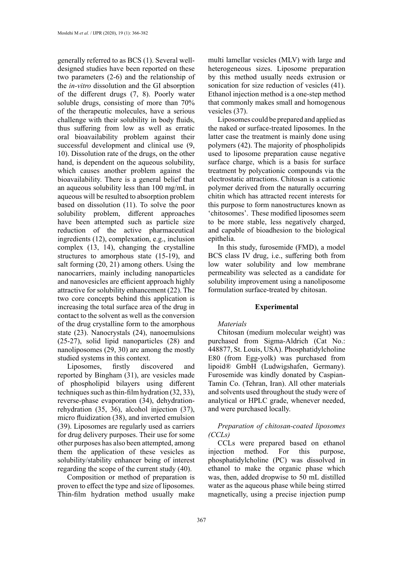generally referred to as BCS (1). Several welldesigned studies have been reported on these two parameters (2-6) and the relationship of the *in-vitro* dissolution and the GI absorption of the different drugs (7, 8). Poorly water soluble drugs, consisting of more than 70% of the therapeutic molecules, have a serious challenge with their solubility in body fluids, thus suffering from low as well as erratic oral bioavailability problem against their successful development and clinical use (9, 10). Dissolution rate of the drugs, on the other hand, is dependent on the aqueous solubility, which causes another problem against the bioavailability. There is a general belief that an aqueous solubility less than 100 mg/mL in aqueous will be resulted to absorption problem based on dissolution (11). To solve the poor solubility problem, different approaches have been attempted such as particle size reduction of the active pharmaceutical ingredients (12), complexation, e.g., inclusion complex (13, 14), changing the crystalline structures to amorphous state (15-19), and salt forming (20, 21) among others. Using the nanocarriers, mainly including nanoparticles and nanovesicles are efficient approach highly attractive for solubility enhancement (22). The two core concepts behind this application is increasing the total surface area of the drug in contact to the solvent as well as the conversion of the drug crystalline form to the amorphous state (23). Nanocrystals (24), nanoemulsions (25-27), solid lipid nanoparticles (28) and nanoliposomes (29, 30) are among the mostly studied systems in this context.

Liposomes, firstly discovered and reported by Bingham (31), are vesicles made of phospholipid bilayers using different techniques such as thin-film hydration (32, 33), reverse-phase evaporation (34), dehydrationrehydration (35, 36), alcohol injection (37), micro fluidization (38), and inverted emulsion (39). Liposomes are regularly used as carriers for drug delivery purposes. Their use for some other purposes has also been attempted, among them the application of these vesicles as solubility/stability enhancer being of interest regarding the scope of the current study (40).

Composition or method of preparation is proven to effect the type and size of liposomes. Thin-film hydration method usually make

multi lamellar vesicles (MLV) with large and heterogeneous sizes. Liposome preparation by this method usually needs extrusion or sonication for size reduction of vesicles (41). Ethanol injection method is a one-step method that commonly makes small and homogenous vesicles (37).

Liposomes could be prepared and applied as the naked or surface-treated liposomes. In the latter case the treatment is mainly done using polymers (42). The majority of phospholipids used to liposome preparation cause negative surface charge, which is a basis for surface treatment by polycationic compounds via the electrostatic attractions. Chitosan is a cationic polymer derived from the naturally occurring chitin which has attracted recent interests for this purpose to form nanostructures known as 'chitosomes'. These modified liposomes seem to be more stable, less negatively charged, and capable of bioadhesion to the biological epithelia.

In this study, furosemide (FMD), a model BCS class IV drug, i.e., suffering both from low water solubility and low membrane permeability was selected as a candidate for solubility improvement using a nanoliposome formulation surface-treated by chitosan.

# **Experimental**

#### *Materials*

Chitosan (medium molecular weight) was purchased from Sigma-Aldrich (Cat No.: 448877, St. Louis, USA). Phosphatidylcholine E80 (from Egg-yolk) was purchased from lipoid® GmbH (Ludwigshafen, Germany). Furosemide was kindly donated by Caspian-Tamin Co. (Tehran, Iran). All other materials and solvents used throughout the study were of analytical or HPLC grade, whenever needed, and were purchased locally.

# *Preparation of chitosan-coated liposomes (CCLs)*

CCLs were prepared based on ethanol injection method. For this purpose, phosphatidylcholine (PC) was dissolved in ethanol to make the organic phase which was, then, added dropwise to 50 mL distilled water as the aqueous phase while being stirred magnetically, using a precise injection pump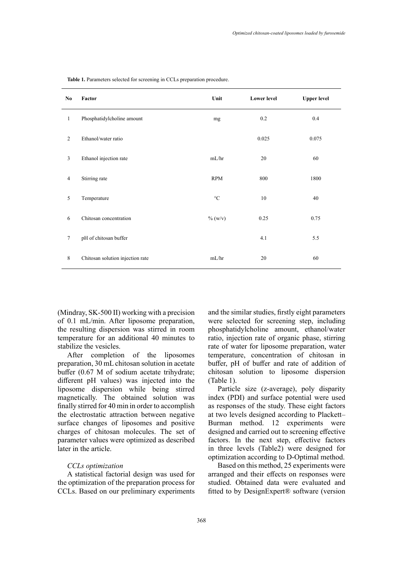| No             | Factor                           | Unit            | <b>Lower level</b> | <b>Upper level</b> |
|----------------|----------------------------------|-----------------|--------------------|--------------------|
| $\mathbf{1}$   | Phosphatidylcholine amount       | mg              | 0.2                | 0.4                |
| 2              | Ethanol/water ratio              |                 | 0.025              | 0.075              |
| $\mathfrak{Z}$ | Ethanol injection rate           | mL/hr           | 20                 | 60                 |
| 4              | Stirring rate                    | <b>RPM</b>      | 800                | 1800               |
| 5              | Temperature                      | $\rm ^{\circ}C$ | 10                 | 40                 |
| 6              | Chitosan concentration           | $\%$ (w/v)      | 0.25               | 0.75               |
| $\tau$         | pH of chitosan buffer            |                 | 4.1                | 5.5                |
| 8              | Chitosan solution injection rate | mL/hr           | 20                 | 60                 |

Table 1. Parameters selected for screening in CCLs preparation procedure.

(Mindray, SK-500 II) working with a precision of 0.1 mL/min. After liposome preparation, the resulting dispersion was stirred in room temperature for an additional 40 minutes to stabilize the vesicles.

After completion of the liposomes preparation, 30 mL chitosan solution in acetate buffer (0.67 M of sodium acetate trihydrate; different pH values) was injected into the liposome dispersion while being stirred magnetically. The obtained solution was finally stirred for 40 min in order to accomplish the electrostatic attraction between negative surface changes of liposomes and positive charges of chitosan molecules. The set of parameter values were optimized as described later in the article.

#### *CCLs optimization*

A statistical factorial design was used for the optimization of the preparation process for CCLs. Based on our preliminary experiments

and the similar studies, firstly eight parameters were selected for screening step, including phosphatidylcholine amount, ethanol/water ratio, injection rate of organic phase, stirring rate of water for liposome preparation, water temperature, concentration of chitosan in buffer, pH of buffer and rate of addition of chitosan solution to liposome dispersion (Table 1).

Particle size (z-average), poly disparity index (PDI) and surface potential were used as responses of the study. These eight factors at two levels designed according to Plackett– Burman method. 12 experiments were designed and carried out to screening effective factors. In the next step, effective factors in three levels (Table2) were designed for optimization according to D-Optimal method.

Based on this method, 25 experiments were arranged and their effects on responses were studied. Obtained data were evaluated and fitted to by DesignExpert® software (version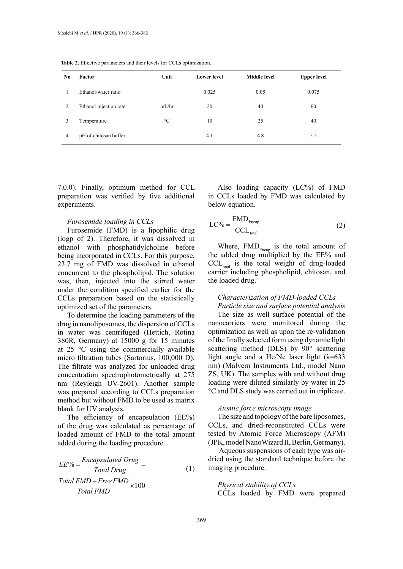| N <sub>0</sub> | Factor                 | Unit            | <b>Lower</b> level | <b>Middle level</b> | <b>Upper level</b> |
|----------------|------------------------|-----------------|--------------------|---------------------|--------------------|
|                | Ethanol/water ratio    |                 | 0.025              | 0.05                | 0.075              |
| 2              | Ethanol injection rate | mL/hr           | 20                 | 40                  | 60                 |
| 3              | Temperature            | $\rm ^{\circ}C$ | 10                 | 25                  | 40                 |
| $\overline{4}$ | pH of chitosan buffer  |                 | 4.1                | 4.8                 | 5.5                |

**Table 2.** Effective parameters and their levels for CCLs optimization.

7.0.0). Finally, optimum method for CCL preparation was verified by five additional experiments.

#### *Furosemide loading in CCLs*

Furosemide (FMD) is a lipophilic drug (logp of 2). Therefore, it was dissolved in ethanol with phosphatidylcholine before being incorporated in CCLs. For this purpose, 23.7 mg of FMD was dissolved in ethanol concurrent to the phospholipid. The solution was, then, injected into the stirred water under the condition specified earlier for the CCLs preparation based on the statistically optimized set of the parameters.

To determine the loading parameters of the drug in nanoliposomes, the dispersion of CCLs in water was centrifuged (Hettich, Rotina 380R, Germany) at 15000 g for 15 minutes at 25 °C using the commercially available micro filtration tubes (Sartorius, 100,000 D). The filtrate was analyzed for unloaded drug concentration spectrophotometrically at 275 nm (Reyleigh UV-2601). Another sample was prepared according to CCLs preparation method but without FMD to be used as matrix blank for UV analysis.

The efficiency of encapsulation (EE%) of the drug was calculated as percentage of loaded amount of FMD to the total amount added during the loading procedure.

$$
EE\% = \frac{Encapsulated Drug}{Total Drug} = \frac{Total\ (1)}{Total\ (1)} \times 100
$$

Also loading capacity (LC%) of FMD in CCLs loaded by FMD was calculated by below equation.

$$
LC\% = \frac{FMD_{\text{Encap.}}}{CCL_{\text{total}}}
$$
 (2)

Where,  $FMD_{F_{\text{mean}}}$  is the total amount of the added drug multiplied by the EE% and  $CCL_{total}$  is the total weight of drug-loaded carrier including phospholipid, chitosan, and the loaded drug.

# *Characterization of FMD-loaded CCLs*

*Particle size and surface potential analysis* The size as well surface potential of the nanocarriers were monitored during the optimization as well as upon the re-validation of the finally selected form using dynamic light scattering method (DLS) by 90° scattering light angle and a He/Ne laser light  $(\lambda=633)$ nm) (Malvern Instruments Ltd., model Nano ZS, UK). The samples with and without drug loading were diluted similarly by water in 25 °C and DLS study was carried out in triplicate.

#### *Atomic force microscopy image*

The size and topology of the bare liposomes, CCLs, and dried-reconstituted CCLs were tested by Atomic Force Microscopy (AFM) (JPK, model NanoWizard II, Berlin, Germany).

 Aqueous suspensions of each type was airdried using the standard technique before the imaging procedure.

*Physical stability of CCLs* CCLs loaded by FMD were prepared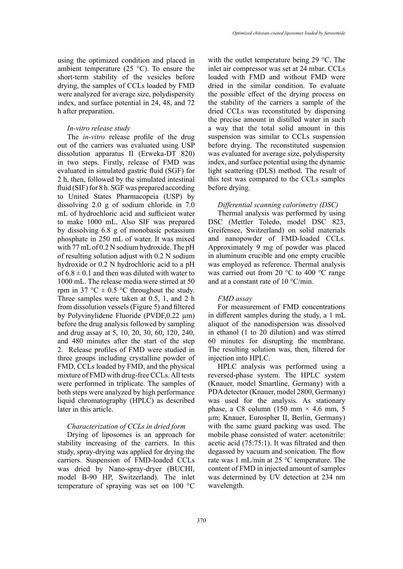using the optimized condition and placed in ambient temperature  $(25 \text{ °C})$ . To ensure the short-term stability of the vesicles before drying, the samples of CCLs loaded by FMD were analyzed for average size, polydispersity index, and surface potential in 24, 48, and 72 h after preparation.

#### *In-vitro release study*

The *in-vitro* release profile of the drug out of the carriers was evaluated using USP dissolution apparatus II (Erweka-DT 820) in two steps. Firstly, release of FMD was evaluated in simulated gastric fluid (SGF) for 2 h, then, followed by the simulated intestinal fluid (SIF) for 8 h. SGF was prepared according to United States Pharmacopeia (USP) by dissolving 2.0 g of sodium chloride in 7.0 mL of hydrochloric acid and sufficient water to make 1000 mL. Also SIF was prepared by dissolving 6.8 g of monobasic potassium phosphate in 250 mL of water. It was mixed with 77 mL of 0.2 N sodium hydroxide. The pH of resulting solution adjust with 0.2 N sodium hydroxide or 0.2 N hydrochloric acid to a pH of  $6.8 \pm 0.1$  and then was diluted with water to 1000 mL. The release media were stirred at 50 rpm in 37 °C  $\pm$  0.5 °C throughout the study. Three samples were taken at 0.5, 1, and 2 h from dissolution vessels (Figure 5) and filtered by Polyvinylidene Fluoride (PVDF,0.22 µm) before the drug analysis followed by sampling and drug assay at 5, 10, 20, 30, 60, 120, 240, and 480 minutes after the start of the step 2. Release profiles of FMD were studied in three groups including crystalline powder of FMD, CCLs loaded by FMD, and the physical mixture of FMD with drug-free CCLs. All tests were performed in triplicate. The samples of both steps were analyzed by high performance liquid chromatography (HPLC) as described later in this article.

# *Characterization of CCLs in dried form*

Drying of liposomes is an approach for stability increasing of the carriers. In this study, spray-drying was applied for drying the carriers. Suspension of FMD-loaded CCLs was dried by Nano-spray-dryer (BUCHI, model B-90 HP, Switzerland). The inlet temperature of spraying was set on 100 °C

with the outlet temperature being 29 °C. The inlet air compressor was set at 24 mbar. CCLs loaded with FMD and without FMD were dried in the similar condition. To evaluate the possible effect of the drying process on the stability of the carriers a sample of the dried CCLs was reconstituted by dispersing the precise amount in distilled water in such a way that the total solid amount in this suspension was similar to CCLs suspension before drying. The reconstituted suspension was evaluated for average size, polydispersity index, and surface potential using the dynamic light scattering (DLS) method. The result of this test was compared to the CCLs samples before drying.

# *Differential scanning calorimetry (DSC)*

Thermal analysis was performed by using DSC (Mettler Toledo, model DSC 823, Greifensee, Switzerland) on solid materials and nanopowder of FMD-loaded CCLs. Approximately 9 mg of powder was placed in aluminum crucible and one empty crucible was employed as reference. Thermal analysis was carried out from 20 °C to 400 °C range and at a constant rate of 10 °C/min.

# *FMD assay*

For measurement of FMD concentrations in different samples during the study, a 1 mL aliquot of the nanodispersion was dissolved in ethanol (1 to 20 dilution) and was stirred 60 minutes for disrupting the membrane. The resulting solution was, then, filtered for injection into HPLC.

HPLC analysis was performed using a reversed-phase system. The HPLC system (Knauer, model Smartline, Germany) with a PDA detector (Knauer, model 2800, Germany) was used for the analysis. As stationary phase, a C8 column  $(150 \text{ mm} \times 4.6 \text{ mm}, 5)$ µm; Knauer, Eurospher II, Berlin, Germany) with the same guard packing was used. The mobile phase consisted of water: acetonitrile: acetic acid (75:75:1). It was filtrated and then degassed by vacuum and sonication. The flow rate was 1 mL/min at 25 °C temperature. The content of FMD in injected amount of samples was determined by UV detection at 234 nm wavelength.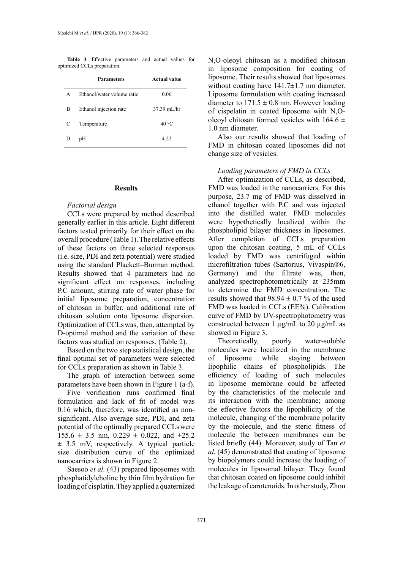**Table 3**. Effective parameters and actual values for N.O-oleov optimized CCLs preparation.

|   | <b>Parameters</b>          | <b>Actual value</b> |
|---|----------------------------|---------------------|
| A | Ethanol/water volume ratio | 0.06                |
| B | Ethanol injection rate     | 37.39 mL/hr         |
| C | Temperature                | $40^{\circ}$ C      |
|   | pH                         | 4.22                |

#### **Results**

### *Factorial design*

CCLs were prepared by method described generally earlier in this article. Eight different factors tested primarily for their effect on the overall procedure (Table 1). The relative effects of these factors on three selected responses (i.e. size, PDI and zeta potential) were studied using the standard Plackett–Burman method. Results showed that 4 parameters had no significant effect on responses, including P.C amount, stirring rate of water phase for initial liposome preparation, concentration of chitosan in buffer, and additional rate of chitosan solution onto liposome dispersion. Optimization of CCLswas, then, attempted by D-optimal method and the variation of these factors was studied on responses. (Table 2).

Based on the two step statistical design, the final optimal set of parameters were selected for CCLs preparation as shown in Table 3.

The graph of interaction between some parameters have been shown in Figure 1 (a-f).

Five verification runs confirmed final formulation and lack of fit of model was 0.16 which, therefore, was identified as nonsignificant. Also average size, PDI, and zeta potential of the optimally prepared CCLswere  $155.6 \pm 3.5$  nm,  $0.229 \pm 0.022$ , and  $+25.2$  $\pm$  3.5 mV, respectively. A typical particle size distribution curve of the optimized nanocarriers is shown in Figure 2.

Saesoo *et al.* (43) prepared liposomes with phosphatidylcholine by thin film hydration for loading of cisplatin. They applied a quaternized

N,O-oleoyl chitosan as a modified chitosan in liposome composition for coating of liposome. Their results showed that liposomes without coating have  $141.7 \pm 1.7$  nm diameter. Liposome formulation with coating increased diameter to  $171.5 \pm 0.8$  nm. However loading of cispelatin in coated liposome with N,Ooleoyl chitosan formed vesicles with  $164.6 \pm$ 1.0 nm diameter.

Also our results showed that loading of FMD in chitosan coated liposomes did not change size of vesicles.

# *Loading parameters of FMD in CCLs*

After optimization of CCLs, as described, FMD was loaded in the nanocarriers. For this purpose, 23.7 mg of FMD was dissolved in ethanol together with P.C and was injected into the distilled water. FMD molecules were hypothetically localized within the phospholipid bilayer thickness in liposomes. After completion of CCLs preparation upon the chitosan coating, 5 mL of CCLs loaded by FMD was centrifuged within microfiltration tubes (Sartorius, Vivaspin®6, Germany) and the filtrate was, then, analyzed spectrophotometrically at 235mm to determine the FMD concentration. The results showed that  $98.94 \pm 0.7$  % of the used FMD was loaded in CCLs (EE%). Calibration curve of FMD by UV-spectrophotometry was constructed between 1  $\mu$ g/mL to 20  $\mu$ g/mL as showed in Figure 3.

Theoretically, poorly water-soluble molecules were localized in the membrane of liposome while staying between lipophilic chains of phospholipids. The efficiency of loading of such molecules in liposome membrane could be affected by the characteristics of the molecule and its interaction with the membrane; among the effective factors the lipophilicity of the molecule, changing of the membrane polarity by the molecule, and the steric fitness of molecule the between membranes can be listed briefly (44). Moreover, study of Tan *et al.* (45) demonstrated that coating of liposome by biopolymers could increase the loading of molecules in liposomal bilayer. They found that chitosan coated on liposome could inhibit the leakage of carotenoids. In other study, Zhou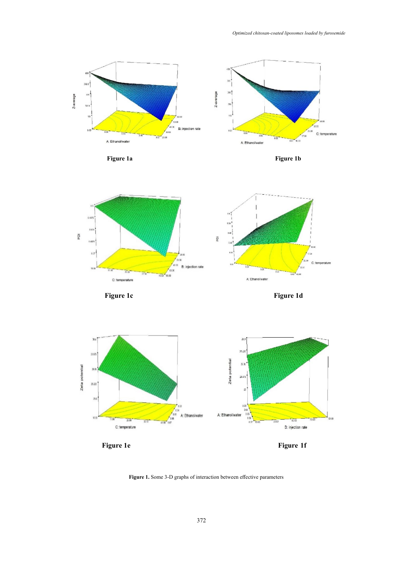

**Figure 1.** Some 3-D graphs of interaction between effective parameters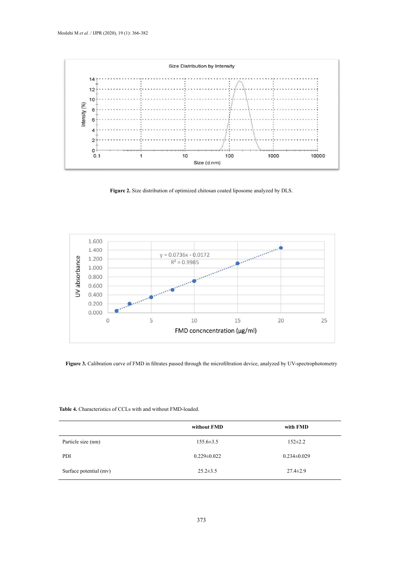

**Figure 2.** Size distribution of optimized chitosan coated liposome analyzed by DLS.



**Figure 3.** Calibration curve of FMD in filtrates passed through the microfiltration device, analyzed by UV-spectrophotometry

# **Table 4.** Characteristics of CCLs with and without FMD-loaded. **Table 4.** Characteristics of CCLs with and without FMD-loaded.

|                        | without FMD       | with FMD          |
|------------------------|-------------------|-------------------|
| Particle size (nm)     | $155.6 \pm 3.5$   | $152 \pm 2.2$     |
| PDI                    | $0.229 \pm 0.022$ | $0.234 \pm 0.029$ |
| Surface potential (mv) | $25.2 \pm 3.5$    | $27.4 \pm 2.9$    |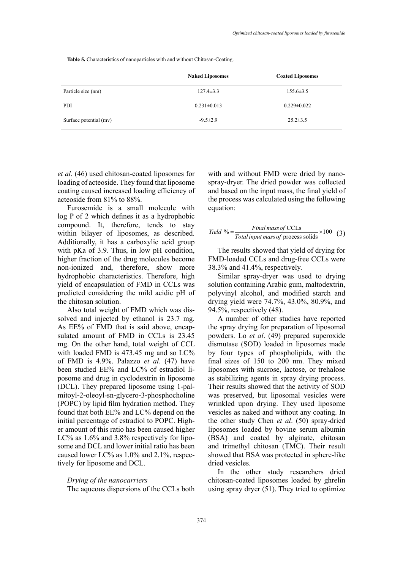**Table 5.** Characteristics of nanoparticles with and without Chitosan-Coating. **Table 5.** Characteristics of nanoparticles with and without Chitosan-Coating.

|                        | <b>Naked Liposomes</b> | <b>Coated Liposomes</b> |
|------------------------|------------------------|-------------------------|
| Particle size (nm)     | $127.4 \pm 3.3$        | $155.6 \pm 3.5$         |
| PDI                    | $0.231 \pm 0.013$      | $0.229 \pm 0.022$       |
| Surface potential (mv) | $-9.5 \pm 2.9$         | $25.2 \pm 3.5$          |

*et al*. (46) used chitosan-coated liposomes for loading of acteoside. They found that liposome coating caused increased loading efficiency of acteoside from 81% to 88%.

Furosemide is a small molecule with log P of 2 which defines it as a hydrophobic compound. It, therefore, tends to stay within bilayer of liposomes, as described. Additionally, it has a carboxylic acid group with pKa of 3.9. Thus, in low pH condition, higher fraction of the drug molecules become non-ionized and, therefore, show more hydrophobic characteristics. Therefore, high yield of encapsulation of FMD in CCLs was predicted considering the mild acidic pH of the chitosan solution.

Also total weight of FMD which was dissolved and injected by ethanol is 23.7 mg. As EE% of FMD that is said above, encapsulated amount of FMD in CCLs is 23.45 mg. On the other hand, total weight of CCL with loaded FMD is 473.45 mg and so LC% of FMD is 4.9%. Palazzo *et al*. (47) have been studied EE% and LC% of estradiol liposome and drug in cyclodextrin in liposome (DCL). They prepared liposome using 1‑palmitoyl-2-oleoyl-sn-glycero-3-phosphocholine (POPC) by lipid film hydration method. They found that both EE% and LC% depend on the initial percentage of estradiol to POPC. Higher amount of this ratio has been caused higher LC% as 1.6% and 3.8% respectively for liposome and DCL and lower initial ratio has been caused lower LC% as 1.0% and 2.1%, respectively for liposome and DCL.

#### *Drying of the nanocarriers*

The aqueous dispersions of the CCLs both

with and without FMD were dried by nanospray-dryer. The dried powder was collected and based on the input mass, the final yield of the process was calculated using the following equation:

$$
Yield % = \frac{Final \, mass \, of \, CCLs}{Total \, input \, mass \, of \, process \, solids} \times 100 \quad (3)
$$

The results showed that yield of drying for FMD-loaded CCLs and drug-free CCLs were 38.3% and 41.4%, respectively.

Similar spray-dryer was used to drying solution containing Arabic gum, maltodextrin, polyvinyl alcohol, and modified starch and drying yield were 74.7%, 43.0%, 80.9%, and 94.5%, respectively (48).

A number of other studies have reported the spray drying for preparation of liposomal powders. Lo *et al*. (49) prepared superoxide dismutase (SOD) loaded in liposomes made by four types of phospholipids, with the final sizes of 150 to 200 nm. They mixed liposomes with sucrose, lactose, or trehalose as stabilizing agents in spray drying process. Their results showed that the activity of SOD was preserved, but liposomal vesicles were wrinkled upon drying. They used liposome vesicles as naked and without any coating. In the other study Chen *et al*. (50) spray-dried liposomes loaded by bovine serum albumin (BSA) and coated by alginate, chitosan and trimethyl chitosan (TMC). Their result showed that BSA was protected in sphere-like dried vesicles.

In the other study researchers dried chitosan-coated liposomes loaded by ghrelin using spray dryer (51). They tried to optimize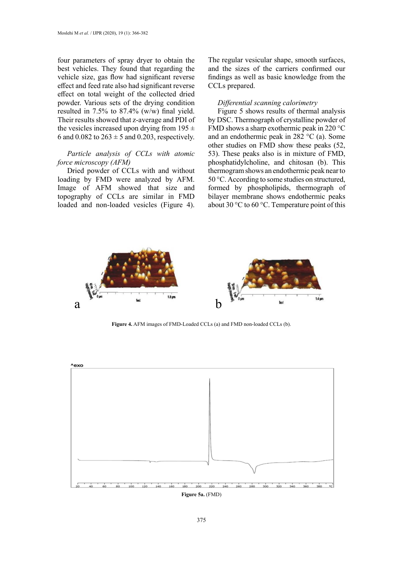four parameters of spray dryer to obtain the best vehicles. They found that regarding the vehicle size, gas flow had significant reverse effect and feed rate also had significant reverse effect on total weight of the collected dried powder. Various sets of the drying condition resulted in 7.5% to 87.4% (w/w) final yield. Their results showed that z-average and PDI of the vesicles increased upon drying from  $195 \pm$ 6 and 0.082 to  $263 \pm 5$  and 0.203, respectively.

# *Particle analysis of CCLs with atomic force microscopy (AFM)*

Dried powder of CCLs with and without loading by FMD were analyzed by AFM. Image of AFM showed that size and topography of CCLs are similar in FMD loaded and non-loaded vesicles (Figure 4).

The regular vesicular shape, smooth surfaces, and the sizes of the carriers confirmed our findings as well as basic knowledge from the CCLs prepared.

## *Differential scanning calorimetry*

Figure 5 shows results of thermal analysis by DSC. Thermograph of crystalline powder of FMD shows a sharp exothermic peak in 220 °C and an endothermic peak in 282 °C (a). Some other studies on FMD show these peaks (52, 53). These peaks also is in mixture of FMD, phosphatidylcholine, and chitosan (b). This thermogram shows an endothermic peak near to 50 °C. According to some studies on structured, formed by phospholipids, thermograph of bilayer membrane shows endothermic peaks about 30 °C to 60 °C. Temperature point of this



**Figure 4.** AFM images of FMD-Loaded CCLs (a) and FMD non-loaded CCLs (b). **Figure 4.** AFM images of FMD-Loaded CCLs (a) and FMD non-loaded CCLs (b).



**Figure 5a.** (FMD) **Figure 5a.** (FMD)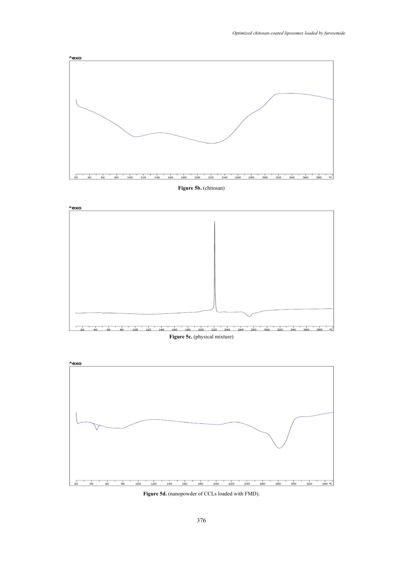

# **Figure 5b.** (chitosan) **Figure 5b.** (chitosan)





**Figure 5d.** (nanopowder of CCLs loaded with FMD).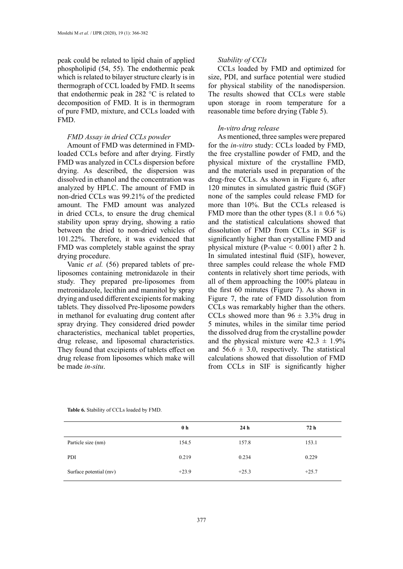peak could be related to lipid chain of applied phospholipid (54, 55). The endothermic peak which is related to bilayer structure clearly is in thermograph of CCL loaded by FMD. It seems that endothermic peak in 282  $\degree$ C is related to decomposition of FMD. It is in thermogram of pure FMD, mixture, and CCLs loaded with FMD.

#### *FMD Assay in dried CCLs powder*

Amount of FMD was determined in FMDloaded CCLs before and after drying. Firstly FMD was analyzed in CCLs dispersion before drying. As described, the dispersion was dissolved in ethanol and the concentration was analyzed by HPLC. The amount of FMD in non-dried CCLs was 99.21% of the predicted amount. The FMD amount was analyzed in dried CCLs, to ensure the drug chemical stability upon spray drying, showing a ratio between the dried to non-dried vehicles of 101.22%. Therefore, it was evidenced that FMD was completely stable against the spray drying procedure.

Vanic *et al.* (56) prepared tablets of preliposomes containing metronidazole in their study. They prepared pre-liposomes from metronidazole, lecithin and mannitol by spray drying and used different excipients for making tablets. They dissolved Pre-liposome powders in methanol for evaluating drug content after spray drying. They considered dried powder characteristics, mechanical tablet properties, drug release, and liposomal characteristics. They found that excipients of tablets effect on drug release from liposomes which make will be made *in-situ*.

## *Stability of CCls*

CCLs loaded by FMD and optimized for size, PDI, and surface potential were studied for physical stability of the nanodispersion. The results showed that CCLs were stable upon storage in room temperature for a reasonable time before drying (Table 5).

# *In-vitro drug release*

As mentioned, three samples were prepared for the *in-vitro* study: CCLs loaded by FMD, the free crystalline powder of FMD, and the physical mixture of the crystalline FMD, and the materials used in preparation of the drug-free CCLs. As shown in Figure 6, after 120 minutes in simulated gastric fluid (SGF) none of the samples could release FMD for more than 10%. But the CCLs released is FMD more than the other types  $(8.1 \pm 0.6 \%)$ and the statistical calculations showed that dissolution of FMD from CCLs in SGF is significantly higher than crystalline FMD and physical mixture (P-value  $< 0.001$ ) after 2 h. In simulated intestinal fluid (SIF), however, three samples could release the whole FMD contents in relatively short time periods, with all of them approaching the 100% plateau in the first 60 minutes (Figure 7). As shown in Figure 7, the rate of FMD dissolution from CCLs was remarkably higher than the others. CCLs showed more than  $96 \pm 3.3\%$  drug in 5 minutes, whiles in the similar time period the dissolved drug from the crystalline powder and the physical mixture were  $42.3 \pm 1.9\%$ and  $56.6 \pm 3.0$ , respectively. The statistical calculations showed that dissolution of FMD from CCLs in SIF is significantly higher

|                        | 0 <sub>h</sub> | 24h     | 72 h    |
|------------------------|----------------|---------|---------|
| Particle size (nm)     | 154.5          | 157.8   | 153.1   |
| PDI                    | 0.219          | 0.234   | 0.229   |
| Surface potential (mv) | $+23.9$        | $+25.3$ | $+25.7$ |

**Table 6.** Stability of CCLs loaded by FMD. **Table 6.** Stability of CCLs loaded by FMD.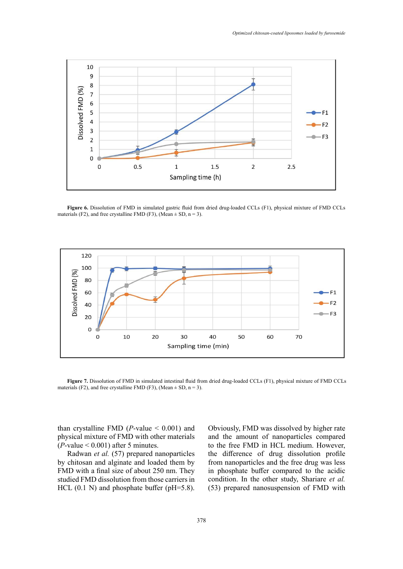

Figure 6. Dissolution of FMD in simulated gastric fluid from dried drug-loaded CCLs (F1), physical mixture of FMD CCLs materials (F2), and free crystalline FMD (F3), (Mean  $\pm$  SD, n = 3).



materials (F2), and free crystalline FMD (F3), (Mean  $\pm$  SD, n = 3). **Figure 7.** Dissolution of FMD in simulated intestinal fluid from dried drug-loaded CCLs (F1), physical mixture of FMD CCLs

than crystalline FMD ( $P$ -value  $\leq$  0.001) and physical mixture of FMD with other materials  $(P$ -value  $< 0.001$ ) after 5 minutes.

Radwan *et al.* (57) prepared nanoparticles by chitosan and alginate and loaded them by FMD with a final size of about 250 nm. They studied FMD dissolution from those carriers in HCL  $(0.1 \text{ N})$  and phosphate buffer (pH=5.8). Obviously, FMD was dissolved by higher rate and the amount of nanoparticles compared to the free FMD in HCL medium. However, the difference of drug dissolution profile from nanoparticles and the free drug was less in phosphate buffer compared to the acidic condition. In the other study, Shariare *et al.* (53) prepared nanosuspension of FMD with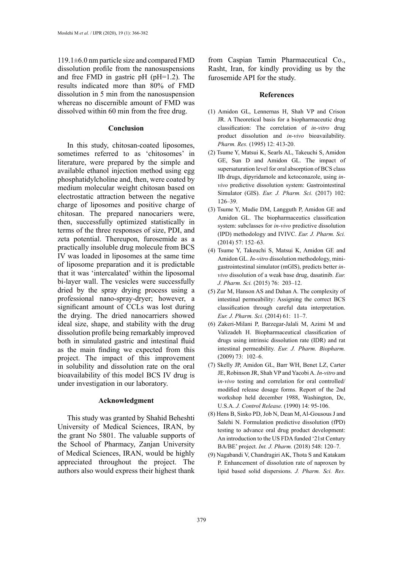119.1±6.0 nm particle size and compared FMD dissolution profile from the nanosuspensions and free FMD in gastric pH (pH=1.2). The results indicated more than 80% of FMD dissolution in 5 min from the nanosuspension whereas no discernible amount of FMD was dissolved within 60 min from the free drug.

#### **Conclusion**

In this study, chitosan-coated liposomes, sometimes referred to as 'chitosomes' in literature, were prepared by the simple and available ethanol injection method using egg phosphatidylcholine and, then, were coated by medium molecular weight chitosan based on electrostatic attraction between the negative charge of liposomes and positive charge of chitosan. The prepared nanocariers were, then, successfully optimized statistically in terms of the three responses of size, PDI, and zeta potential. Thereupon, furosemide as a practically insoluble drug molecule from BCS IV was loaded in liposomes at the same time of liposome preparation and it is predictable that it was 'intercalated' within the liposomal bi-layer wall. The vesicles were successfully dried by the spray drying process using a professional nano-spray-dryer; however, a significant amount of CCLs was lost during the drying. The dried nanocarriers showed ideal size, shape, and stability with the drug dissolution profile being remarkably improved both in simulated gastric and intestinal fluid as the main finding we expected from this project. The impact of this improvement in solubility and dissolution rate on the oral bioavailability of this model BCS IV drug is under investigation in our laboratory.

#### **Acknowledgment**

This study was granted by Shahid Beheshti University of Medical Sciences, IRAN, by the grant No 5801. The valuable supports of the School of Pharmacy, Zanjan University of Medical Sciences, IRAN, would be highly appreciated throughout the project. The authors also would express their highest thank

from Caspian Tamin Pharmaceutical Co., Rasht, Iran, for kindly providing us by the furosemide API for the study.

#### **References**

- (1) Amidon GL, Lennernas H, Shah VP and Crison JR. A Theoretical basis for a biopharmaceutic drug classification: The correlation of *in-vitro* drug product dissolution and *in-vivo* bioavailability. *[Pharm. Res.](https://www.ncbi.nlm.nih.gov/pubmed/7617530)* (1995) 12: 413-20.
- (2) Tsume Y, Matsui K, Searls AL, Takeuchi S, Amidon GE, Sun D and Amidon GL. The impact of supersaturation level for oral absorption of BCS class IIb drugs, dipyridamole and ketoconazole, using *invivo* predictive dissolution system: Gastrointestinal Simulator (GIS). *[Eur. J. Pharm. Sci.](https://www.ncbi.nlm.nih.gov/pubmed/28263914)* (2017) 102: 126–39.
- (3) Tsume Y, Mudie DM, Langguth P, Amidon GE and Amidon GL. The biopharmaceutics classification system: subclasses for *in-vivo* predictive dissolution (IPD) methodology and IVIVC. *[Eur. J. Pharm. Sci.](https://www.ncbi.nlm.nih.gov/pubmed/28263914)* (2014) 57: 152–63.
- (4) Tsume Y, Takeuchi S, Matsui K, Amidon GE and Amidon GL. *In-vitro* dissolution methodology, minigastrointestinal simulator (mGIS), predicts better *invivo* dissolution of a weak base drug, dasatinib. *[Eur.](https://www.ncbi.nlm.nih.gov/pubmed/28263914) [J. Pharm. Sci.](https://www.ncbi.nlm.nih.gov/pubmed/28263914)* (2015) 76: 203–12.
- (5) Zur M, Hanson AS and Dahan A. The complexity of intestinal permeability: Assigning the correct BCS classification through careful data interpretation. *[Eur. J. Pharm. Sci.](https://www.ncbi.nlm.nih.gov/pubmed/28263914)* (2014) 61: 11–7.
- (6) Zakeri-Milani P, Barzegar-Jalali M, Azimi M and Valizadeh H. Biopharmaceutical classification of drugs using intrinsic dissolution rate (IDR) and rat intestinal permeability. *[Eur. J. Pharm. Biopharm.](https://www.ncbi.nlm.nih.gov/pubmed/19442726)* (2009) 73: 102–6.
- (7) Skelly JP, Amidon GL, Barr WH, Benet LZ, Carter JE, Robinson JR, Shah VP and Yacobi A. *In-vitro* and i*n-vivo* testing and correlation for oral controlled/ modified release dosage forms. Report of the 2nd workshop held december 1988, Washington, Dc, U.S.A. *[J. Control Release](https://www.ncbi.nlm.nih.gov/pubmed/28238787).* (1990) 14: 95-106.
- (8) Hens B, Sinko PD, Job N, Dean M, Al-Gousous J and Salehi N. Formulation predictive dissolution (fPD) testing to advance oral drug product development: An introduction to the US FDA funded '21st Century BA/BE' project. *[Int. J. Pharm.](https://www.ncbi.nlm.nih.gov/pubmed/12753761)* (2018) 548: 120–7.
- (9) Nagabandi V, Chandragiri AK, Thota S and Katakam P. Enhancement of dissolution rate of naproxen by lipid based solid dispersions. *J. Pharm. Sci. Res.*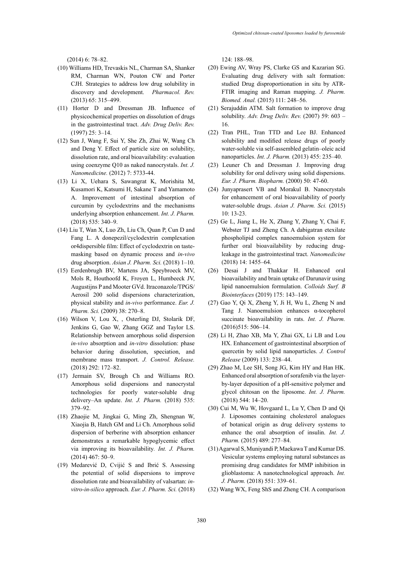(2014) 6: 78–82.

- (10) Williams HD, Trevaskis NL, Charman SA, Shanker RM, Charman WN, Pouton CW and Porter CJH. Strategies to address low drug solubility in discovery and development. *[Pharmacol. Rev](https://www.ncbi.nlm.nih.gov/pubmed/23383426).* (2013) 65: 315–499.
- (11) Horter D and Dressman JB. Influence of physicochemical properties on dissolution of drugs in the gastrointestinal tract. *[Adv. Drug Deliv. Rev.](https://www.ncbi.nlm.nih.gov/pubmed/11259834)* (1997) 25: 3–14.
- (12) Sun J, Wang F, Sui Y, She Zh, Zhai W, Wang Ch and Deng Y. Effect of particle size on solubility, dissolution rate, and oral bioavailability: evaluation using coenzyme Q10 as naked nanocrystals. *[Int. J.](https://www.ncbi.nlm.nih.gov/pmc/articles/PMC3500035/)  [Nanomedicine.](https://www.ncbi.nlm.nih.gov/pmc/articles/PMC3500035/)* (2012) 7: 5733-44.
- (13) Li X, Uehara S, Sawangrat K, Morishita M, Kusamori K, Katsumi H, Sakane T and Yamamoto A. Improvement of intestinal absorption of curcumin by cyclodextrins and the mechanisms underlying absorption enhancement. *[Int. J. Pharm](https://www.ncbi.nlm.nih.gov/pubmed/12753761).* (2018) 535: 340–9.
- (14) Liu T, Wan X, Luo Zh, Liu Ch, Quan P, Cun D and Fang L. A donepezil/cyclodextrin complexation or4dispersible film: Effect of cyclodextrin on tastemasking based on dynamic process and *in-vivo* drug absorption. *Asian J. Pharm. Sci.* (2018) 1–10.
- (15) Eerdenbrugh BV, Martens JA, Speybroeck MV, Mols R, Houthoofd K, Froyen L, Humbeeck JV, Augustijns P and Mooter GVd. Itraconazole/TPGS/ Aerosil 200 solid dispersions characterization, physical stability and *in-vivo* performance. *[Eur. J.](https://www.ncbi.nlm.nih.gov/pubmed/28263914)  [Pharm. Sci.](https://www.ncbi.nlm.nih.gov/pubmed/28263914)* (2009) 38: 270–8.
- (16) Wilson V, Lou X, , Osterling DJ, Stolarik DF, Jenkins G, Gao W, Zhang GGZ and Taylor LS. Relationship between amorphous solid dispersion *in-vivo* absorption and *in-vitro* dissolution: phase behavior during dissolution, speciation, and membrane mass transport. *[J. Control. Release](https://www.ncbi.nlm.nih.gov/pubmed/28238787).* (2018) 292: 172–82.
- (17) Jermain SV, Brough Ch and Williams RO. Amorphous solid dispersions and nanocrystal technologies for poorly water-soluble drug delivery–An update. *Int. J. Pharm.* (2018) 535: 379–92.
- (18) Zhaojie M, Jingkai G, Ming Zh, Shengnan W, Xiaojia B, Hatch GM and Li Ch. Amorphous solid dispersion of berberine with absorption enhancer demonstrates a remarkable hypoglycemic effect via improving its bioavailability*. Int. J. Pharm.* (2014) 467: 50–9.
- (19) Medarević D, Cvijić S and Ibrić S. Assessing the potential of solid dispersions to improve dissolution rate and bioavailability of valsartan: *invitro-in-silico* approach. *Eur. J. Pharm. Sci.* (2018)

124: 188–98.

- (20) Ewing AV, Wray PS, Clarke GS and Kazarian SG. Evaluating drug delivery with salt formation: studied Drug disproportionation in situ by ATR-FTIR imaging and Raman mapping. *[J. Pharm.](https://www.ncbi.nlm.nih.gov/pubmed/25910459) [Biomed. Anal.](https://www.ncbi.nlm.nih.gov/pubmed/25910459)* (2015) 111: 248–56.
- (21) Serajuddin ATM. Salt formation to improve drug solubility. *[Adv. Drug Deliv. Rev.](https://www.ncbi.nlm.nih.gov/pubmed/11259834)* (2007) 59: 603 – 16.
- (22) Tran PHL, Tran TTD and Lee BJ. Enhanced solubility and modified release drugs of poorly water-soluble via self-assembled gelatin–oleic acid nanoparticles. *Int. J. Pharm.* (2013) 455: 235–40.
- (23) Leuner Ch and Dressman J. Improving drug solubility for oral delivery using solid dispersions. *Eur. J. Pharm. Biopharm.* (2000) 50: 47-60.
- (24) Junyaprasert VB and Morakul B. Nanocrystals for enhancement of oral bioavailability of poorly water-soluble drugs. *Asian J. Pharm. Sci.* (2015) 10: 13-23.
- (25) Ge L, Jiang L, He X, Zhang Y, Zhang Y, Chai F, Webster TJ and Zheng Ch. A dabigatran etexilate phospholipid complex nanoemulsion system for further oral bioavailability by reducing drugleakage in the gastrointestinal tract. *[Nanomedicine](https://www.ncbi.nlm.nih.gov/pubmed/28842377)*  (2018) 14: 1455–64.
- (26) Desai J and Thakkar H. Enhanced oral bioavailability and brain uptake of Darunavir using lipid nanoemulsion formulation. *[Colloids Surf. B](https://www.ncbi.nlm.nih.gov/pubmed/30529999) [Biointerfaces](https://www.ncbi.nlm.nih.gov/pubmed/30529999)* (2019) 175: 143–149.
- (27) Gao Y, Qi X, Zheng Y, Ji H, Wu L, Zheng N and Tang J. Nanoemulsion enhances α-tocopherol succinate bioavailability in rats. *Int. J. Pharm.* (2016)515: 506–14.
- (28) Li H, Zhao XB, Ma Y, Zhai GX, Li LB and Lou HX. Enhancement of gastrointestinal absorption of quercetin by solid lipid nanoparticles. *J. Control Release* (2009) 133: 238–44.
- (29) Zhao M, Lee SH, Song JG, Kim HY and Han HK. Enhanced oral absorption of sorafenib via the layerby-layer deposition of a pH-sensitive polymer and glycol chitosan on the liposome. *Int. J. Pharm.* (2018) 544: 14–20.
- (30) Cui M, Wu W, Hovgaard L, Lu Y, Chen D and Qi J. Liposomes containing cholesterol analogues of botanical origin as drug delivery systems to enhance the oral absorption of insulin. *Int. J. Pharm.* (2015) 489: 277–84.
- (31) Agarwal S, Muniyandi P, Maekawa T and Kumar DS. Vesicular systems employing natural substances as promising drug candidates for MMP inhibition in glioblastoma: A nanotechnological approach. *Int. J. Pharm.* (2018) 551: 339–61.
- (32) Wang WX, Feng ShS and Zheng CH. A comparison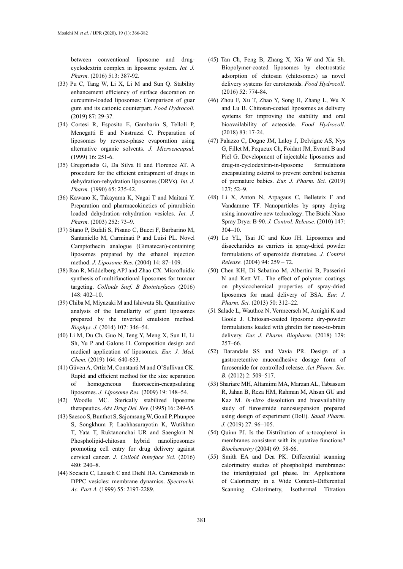between conventional liposome and drugcyclodextrin complex in liposome system. *Int. J. Pharm.* (2016) 513: 387-92.

- (33) Pu C, Tang W, Li X, Li M and Sun Q. Stability enhancement efficiency of surface decoration on curcumin-loaded liposomes: Comparison of guar gum and its cationic counterpart. *Food Hydrocoll.* (2019) 87: 29-37.
- (34) Cortesi R, Esposito E, Gambarin S, Telloli P, Menegatti E and Nastruzzi C. Preparation of liposomes by reverse-phase evaporation using alternative organic solvents. *[J. Microencapsul.](https://www.ncbi.nlm.nih.gov/pubmed/10080118)* (1999) 16: 251-6.
- (35) Gregoriadis G, Da Silva H and Florence AT. A procedure for the efficient entrapment of drugs in dehydration-rehydration liposomes (DRVs). *Int. J. Pharm.* (1990) 65: 235-42.
- (36) Kawano K, Takayama K, Nagai T and Maitani Y. Preparation and pharmacokinetics of pirarubicin loaded dehydration–rehydration vesicles. *Int. J. Pharm.* (2003) 252: 73–9.
- (37) Stano P, Bufali S, Pisano C, Bucci F, Barbarino M, Santaniello M, Carminati P and Luisi PL. Novel Camptothecin analogue (Gimatecan)-containing liposomes prepared by the ethanol injection method. *[J. Liposome Res.](https://www.ncbi.nlm.nih.gov/pubmed/15461935)* (2004) 14: 87–109.
- (38) Ran R, Middelberg APJ and Zhao CX. Microfluidic synthesis of multifunctional liposomes for tumour targeting. *[Colloids Surf. B Biointerfaces](https://www.ncbi.nlm.nih.gov/pubmed/30529999)* (2016) 148: 402–10.
- (39) Chiba M, Miyazaki M and Ishiwata Sh. Quantitative analysis of the lamellarity of giant liposomes prepared by the inverted emulsion method. *[Biophys. J.](https://www.ncbi.nlm.nih.gov/pubmed/25028876)* (2014) 107: 346–54.
- (40) Li M, Du Ch, Guo N, Teng Y, Meng X, Sun H, Li Sh, Yu P and Galons H. Composition design and medical application of liposomes. *[Eur. J. Med.](https://www.ncbi.nlm.nih.gov/pubmed/30640028)  [Chem.](https://www.ncbi.nlm.nih.gov/pubmed/30640028)* (2019) 164: 640-653.
- (41) Güven A, Ortiz M, Constanti M and O'Sullivan CK. Rapid and efficient method for the size separation of homogeneous fluorescein-encapsulating liposomes. *[J. Liposome Res.](https://www.ncbi.nlm.nih.gov/pubmed/19515001)* (2009) 19: 148–54.
- (42) Woodle MC. Sterically stabilized liposome therapeutics. *Adv. Drug Del. Rev.* (1995) 16: 249-65.
- (43) Saesoo S, Bunthot S, Sajomsang W, Gonil P, Phunpee S, Songkhum P, Laohhasurayotin K, Wutikhun T, Yata T, Ruktanonchai UR and Saengkrit N. Phospholipid-chitosan hybrid nanoliposomes promoting cell entry for drug delivery against cervical cancer. *[J. Colloid Interface Sci.](https://www.ncbi.nlm.nih.gov/pubmed/27442151)* (2016)  $480 \cdot 240 - 8$
- (44) Socaciu C, Lausch C and Diehl HA. Carotenoids in DPPC vesicles: membrane dynamics. *Spectrochi. Ac. Part A.* (1999) 55: 2197-2289.
- (45) Tan Ch, Feng B, Zhang X, Xia W and Xia Sh. Biopolymer-coated liposomes by electrostatic adsorption of chitosan (chitosomes) as novel delivery systems for carotenoids. *Food Hydrocoll.* (2016) 52: 774-84.
- (46) Zhou F, Xu T, Zhao Y, Song H, Zhang L, Wu X and Lu B. Chitosan-coated liposomes as delivery systems for improving the stability and oral bioavailability of acteoside. *Food Hydrocoll.* (2018) 83: 17-24.
- (47) Palazzo C, Dogne JM, Laloy J, Delvigne AS, Nys G, Fillet M, Pequeux Ch, Foidart JM, Evrard B and Piel G. Development of injectable liposomes and drug-in-cyclodextrin-in-liposome formulations encapsulating estetrol to prevent cerebral ischemia of premature babies. *Eur. J. Pharm. Sci.* (2019) 127: 52–9.
- (48) Li X, Anton N, Arpagaus C, Belleteix F and Vandamme TF. Nanoparticles by spray drying using innovative new technology: The Büchi Nano Spray Dryer B-90. *J. Control. Release.* (2010) 147: 304–10.
- (49) Lo YL, Tsai JC and Kuo JH. Liposomes and disaccharides as carriers in spray-dried powder formulations of superoxide dismutase. *J. Control Release.* (2004) 94: 259 – 72.
- (50) Chen KH, Di Sabatino M, Albertini B, Passerini N and Kett VL. The effect of polymer coatings on physicochemical properties of spray-dried liposomes for nasal delivery of BSA. *Eur. J. Pharm. Sci.* (2013) 50: 312–22.
- (51 Salade L, Wauthoz N, Vermeersch M, Amighi K and Goole J. Chitosan-coated liposome dry-powder formulations loaded with ghrelin for nose-to-brain delivery. *Eur. J. Pharm. Biopharm.* (2018) 129: 257–66.
- (52) Darandale SS and Vavia PR. Design of a gastroretentive mucoadhesive dosage form of furosemide for controlled release. *Act Pharm. Sin. B.* (2012) 2: 509–517.
- (53) Shariare MH, Altamimi MA, Marzan AL, Tabassum R, Jahan B, Reza HM, Rahman M, Ahsan GU and Kaz M. *In-vitro* dissolution and bioavailability study of furosemide nanosuspension prepared using design of experiment (DoE). *[Saudi Pharm.](https://www.ncbi.nlm.nih.gov/pubmed/30662312) [J](https://www.ncbi.nlm.nih.gov/pubmed/30662312).* (2019) 27: 96–105.
- (54) Quinn PJ. Is the Distribution of α-tocopherol in membranes consistent with its putative functions? *[Biochemistry](https://www.ncbi.nlm.nih.gov/pubmed/14972019)* (2004) 69: 58-66.
- (55) Smith EA and Dea PK. Differential scanning calorimetry studies of phospholipid membranes: the interdigitated gel phase. In: Applications of Calorimetry in a Wide Context–Differential Scanning Calorimetry, Isothermal Titration